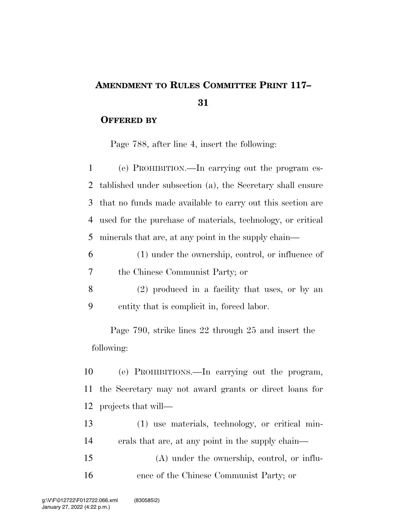## **AMENDMENT TO RULES COMMITTEE PRINT 117–**

## **OFFERED BY**

Page 788, after line 4, insert the following:

 (e) PROHIBITION.—In carrying out the program es- tablished under subsection (a), the Secretary shall ensure that no funds made available to carry out this section are used for the purchase of materials, technology, or critical minerals that are, at any point in the supply chain—

- (1) under the ownership, control, or influence of the Chinese Communist Party; or
- (2) produced in a facility that uses, or by an entity that is complicit in, forced labor.

Page 790, strike lines 22 through 25 and insert the following:

 (e) PROHIBITIONS.—In carrying out the program, the Secretary may not award grants or direct loans for projects that will—

 (1) use materials, technology, or critical min- erals that are, at any point in the supply chain— (A) under the ownership, control, or influ-

ence of the Chinese Communist Party; or